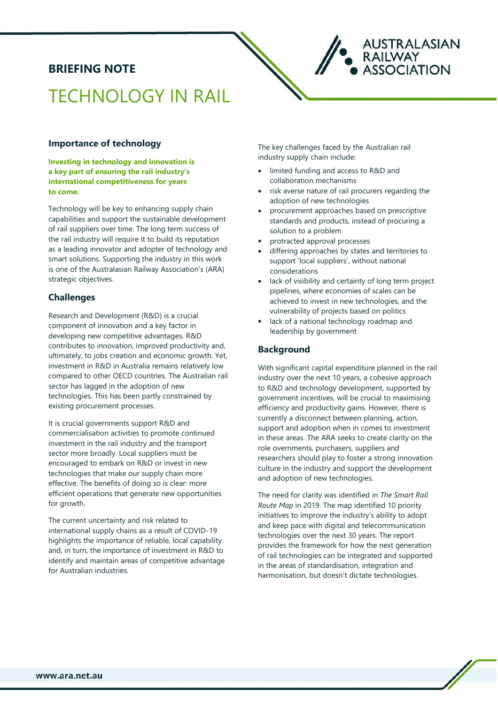## **BRIEFING NOTE**

# TECHNOLOGY IN RAIL

#### **Importance of technology**

**Investing in technology and innovation is a key part of ensuring the rail industry's international competitiveness for years to come.** 

Technology will be key to enhancing supply chain capabilities and support the sustainable development of rail suppliers over time. The long term success of the rail industry will require it to build its reputation as a leading innovator and adopter of technology and smart solutions. Supporting the industry in this work is one of the Australasian Railway Association's (ARA) strategic objectives.

#### **Challenges**

Research and Development (R&D) is a crucial component of innovation and a key factor in developing new competitive advantages. R&D contributes to innovation, improved productivity and, ultimately, to jobs creation and economic growth. Yet, investment in R&D in Australia remains relatively low compared to other OECD countries. The Australian rail sector has lagged in the adoption of new technologies. This has been partly constrained by existing procurement processes.

It is crucial governments support R&D and commercialisation activities to promote continued investment in the rail industry and the transport sector more broadly. Local suppliers must be encouraged to embark on R&D or invest in new technologies that make our supply chain more effective. The benefits of doing so is clear: more efficient operations that generate new opportunities for growth.

The current uncertainty and risk related to international supply chains as a result of COVID-19 highlights the importance of reliable, local capability and, in turn, the importance of investment in R&D to identify and maintain areas of competitive advantage for Australian industries.

The key challenges faced by the Australian rail industry supply chain include:

- limited funding and access to R&D and collaboration mechanisms
- risk averse nature of rail procurers regarding the adoption of new technologies

**AUSTRALASIAN** 

**ASSOCIATION** 

**RAILWAY** 

- procurement approaches based on prescriptive standards and products, instead of procuring a solution to a problem
- protracted approval processes
- differing approaches by states and territories to support 'local suppliers', without national considerations
- lack of visibility and certainty of long term project pipelines, where economies of scales can be achieved to invest in new technologies, and the vulnerability of projects based on politics
- lack of a national technology roadmap and leadership by government

#### **Background**

With significant capital expenditure planned in the rail industry over the next 10 years, a cohesive approach to R&D and technology development, supported by government incentives, will be crucial to maximising efficiency and productivity gains. However, there is currently a disconnect between planning, action, support and adoption when in comes to investment in these areas. The ARA seeks to create clarity on the role overnments, purchasers, suppliers and researchers should play to foster a strong innovation culture in the industry and support the development and adoption of new technologies.

The need for clarity was identified in *The Smart Rail Route Map* in 2019. The map identified 10 priority initiatives to improve the industry's ability to adopt and keep pace with digital and telecommunication technologies over the next 30 years. The report provides the framework for how the next generation of rail technologies can be integrated and supported in the areas of standardisation, integration and harmonisation, but doesn't dictate technologies.